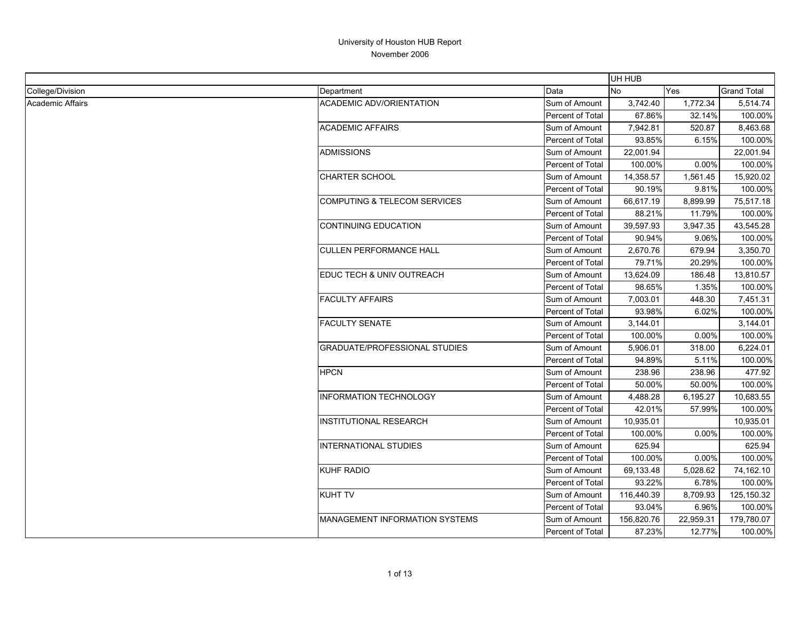| Data<br>College/Division<br>Yes<br><b>Grand Total</b><br>Department<br>No.<br><b>Academic Affairs</b><br><b>ACADEMIC ADV/ORIENTATION</b><br>Sum of Amount<br>3,742.40<br>1,772.34<br>5,514.74<br>67.86%<br>32.14%<br>Percent of Total<br>100.00%<br><b>ACADEMIC AFFAIRS</b><br>520.87<br>Sum of Amount<br>7,942.81<br>8,463.68<br>93.85%<br>6.15%<br>Percent of Total<br>100.00%<br>ADMISSIONS<br>Sum of Amount<br>22,001.94<br>22,001.94<br>100.00%<br>0.00%<br>100.00%<br>Percent of Total |
|----------------------------------------------------------------------------------------------------------------------------------------------------------------------------------------------------------------------------------------------------------------------------------------------------------------------------------------------------------------------------------------------------------------------------------------------------------------------------------------------|
|                                                                                                                                                                                                                                                                                                                                                                                                                                                                                              |
|                                                                                                                                                                                                                                                                                                                                                                                                                                                                                              |
|                                                                                                                                                                                                                                                                                                                                                                                                                                                                                              |
|                                                                                                                                                                                                                                                                                                                                                                                                                                                                                              |
|                                                                                                                                                                                                                                                                                                                                                                                                                                                                                              |
|                                                                                                                                                                                                                                                                                                                                                                                                                                                                                              |
|                                                                                                                                                                                                                                                                                                                                                                                                                                                                                              |
| <b>CHARTER SCHOOL</b><br>1,561.45<br>14,358.57<br>15,920.02<br>Sum of Amount                                                                                                                                                                                                                                                                                                                                                                                                                 |
| 90.19%<br>9.81%<br>100.00%<br>Percent of Total                                                                                                                                                                                                                                                                                                                                                                                                                                               |
| <b>COMPUTING &amp; TELECOM SERVICES</b><br>Sum of Amount<br>66,617.19<br>8,899.99<br>75,517.18                                                                                                                                                                                                                                                                                                                                                                                               |
| Percent of Total<br>88.21%<br>11.79%<br>100.00%                                                                                                                                                                                                                                                                                                                                                                                                                                              |
| <b>CONTINUING EDUCATION</b><br>39,597.93<br>3,947.35<br>43,545.28<br>Sum of Amount                                                                                                                                                                                                                                                                                                                                                                                                           |
| Percent of Total<br>90.94%<br>9.06%<br>100.00%                                                                                                                                                                                                                                                                                                                                                                                                                                               |
| <b>CULLEN PERFORMANCE HALL</b><br>679.94<br>3,350.70<br>Sum of Amount<br>2,670.76                                                                                                                                                                                                                                                                                                                                                                                                            |
| 20.29%<br>Percent of Total<br>79.71%<br>100.00%                                                                                                                                                                                                                                                                                                                                                                                                                                              |
| EDUC TECH & UNIV OUTREACH<br>Sum of Amount<br>13,810.57<br>13,624.09<br>186.48                                                                                                                                                                                                                                                                                                                                                                                                               |
| 1.35%<br><b>Percent of Total</b><br>98.65%<br>100.00%                                                                                                                                                                                                                                                                                                                                                                                                                                        |
| <b>FACULTY AFFAIRS</b><br>Sum of Amount<br>7,003.01<br>448.30<br>7,451.31                                                                                                                                                                                                                                                                                                                                                                                                                    |
| 93.98%<br>6.02%<br>100.00%<br>Percent of Total                                                                                                                                                                                                                                                                                                                                                                                                                                               |
| <b>FACULTY SENATE</b><br>Sum of Amount<br>3,144.01<br>3,144.01                                                                                                                                                                                                                                                                                                                                                                                                                               |
| 100.00%<br>0.00%<br>Percent of Total<br>100.00%                                                                                                                                                                                                                                                                                                                                                                                                                                              |
| <b>GRADUATE/PROFESSIONAL STUDIES</b><br>5,906.01<br>318.00<br>6,224.01<br>Sum of Amount                                                                                                                                                                                                                                                                                                                                                                                                      |
| Percent of Total<br>94.89%<br>5.11%<br>100.00%                                                                                                                                                                                                                                                                                                                                                                                                                                               |
| <b>HPCN</b><br>238.96<br>Sum of Amount<br>238.96<br>477.92                                                                                                                                                                                                                                                                                                                                                                                                                                   |
| Percent of Total<br>50.00%<br>50.00%<br>100.00%                                                                                                                                                                                                                                                                                                                                                                                                                                              |
| <b>INFORMATION TECHNOLOGY</b><br>4,488.28<br>6,195.27<br>10,683.55<br>Sum of Amount                                                                                                                                                                                                                                                                                                                                                                                                          |
| 42.01%<br>57.99%<br>Percent of Total<br>100.00%                                                                                                                                                                                                                                                                                                                                                                                                                                              |
| <b>INSTITUTIONAL RESEARCH</b><br>Sum of Amount<br>10,935.01<br>10,935.01                                                                                                                                                                                                                                                                                                                                                                                                                     |
| Percent of Total<br>100.00%<br>0.00%<br>100.00%                                                                                                                                                                                                                                                                                                                                                                                                                                              |
| <b>INTERNATIONAL STUDIES</b><br>625.94<br>625.94<br>Sum of Amount                                                                                                                                                                                                                                                                                                                                                                                                                            |
| 0.00%<br>Percent of Total<br>100.00%<br>100.00%                                                                                                                                                                                                                                                                                                                                                                                                                                              |
| KUHF RADIO<br>Sum of Amount<br>69,133.48<br>5,028.62<br>74,162.10                                                                                                                                                                                                                                                                                                                                                                                                                            |
| Percent of Total<br>93.22%<br>6.78%<br>100.00%                                                                                                                                                                                                                                                                                                                                                                                                                                               |
| <b>KUHT TV</b><br>125,150.32<br>Sum of Amount<br>116,440.39<br>8,709.93                                                                                                                                                                                                                                                                                                                                                                                                                      |
| Percent of Total<br>93.04%<br>6.96%<br>100.00%                                                                                                                                                                                                                                                                                                                                                                                                                                               |
| MANAGEMENT INFORMATION SYSTEMS<br>156,820.76<br>22,959.31<br>179,780.07<br>Sum of Amount                                                                                                                                                                                                                                                                                                                                                                                                     |
| Percent of Total<br>87.23%<br>12.77%<br>100.00%                                                                                                                                                                                                                                                                                                                                                                                                                                              |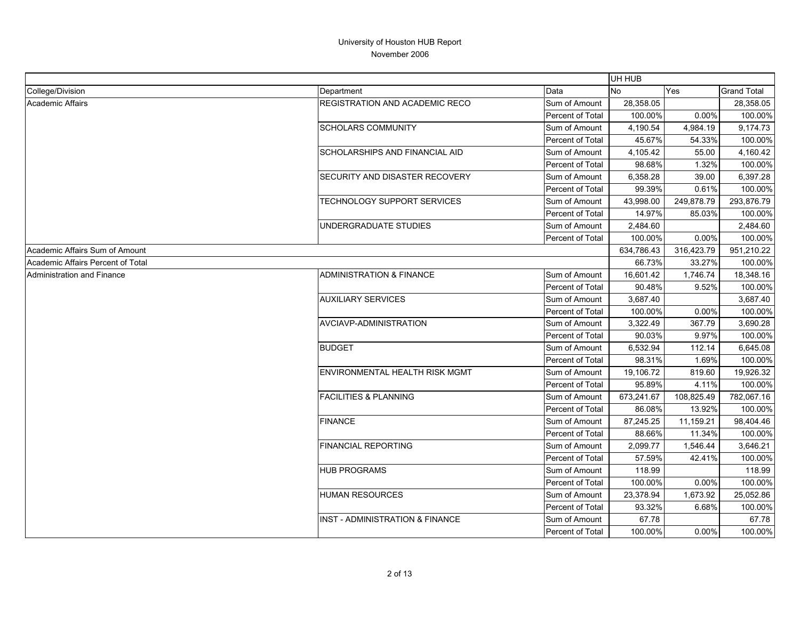|                                   |                                            |                         | UH HUB     |            |                    |
|-----------------------------------|--------------------------------------------|-------------------------|------------|------------|--------------------|
| College/Division                  | Department                                 | Data                    | <b>No</b>  | Yes        | <b>Grand Total</b> |
| <b>Academic Affairs</b>           | <b>REGISTRATION AND ACADEMIC RECO</b>      | Sum of Amount           | 28,358.05  |            | 28,358.05          |
|                                   |                                            | Percent of Total        | 100.00%    | 0.00%      | 100.00%            |
|                                   | <b>SCHOLARS COMMUNITY</b>                  | Sum of Amount           | 4,190.54   | 4,984.19   | 9,174.73           |
|                                   |                                            | Percent of Total        | 45.67%     | 54.33%     | 100.00%            |
|                                   | SCHOLARSHIPS AND FINANCIAL AID             | Sum of Amount           | 4,105.42   | 55.00      | 4,160.42           |
|                                   |                                            | Percent of Total        | 98.68%     | 1.32%      | 100.00%            |
|                                   | <b>SECURITY AND DISASTER RECOVERY</b>      | Sum of Amount           | 6,358.28   | 39.00      | 6,397.28           |
|                                   |                                            | Percent of Total        | 99.39%     | 0.61%      | 100.00%            |
|                                   | <b>TECHNOLOGY SUPPORT SERVICES</b>         | Sum of Amount           | 43,998.00  | 249,878.79 | 293,876.79         |
|                                   |                                            | Percent of Total        | 14.97%     | 85.03%     | 100.00%            |
|                                   | UNDERGRADUATE STUDIES                      | Sum of Amount           | 2,484.60   |            | 2,484.60           |
|                                   |                                            | Percent of Total        | 100.00%    | 0.00%      | 100.00%            |
| Academic Affairs Sum of Amount    |                                            |                         | 634,786.43 | 316,423.79 | 951,210.22         |
| Academic Affairs Percent of Total |                                            |                         | 66.73%     | 33.27%     | 100.00%            |
| Administration and Finance        | ADMINISTRATION & FINANCE                   | Sum of Amount           | 16,601.42  | 1,746.74   | 18,348.16          |
|                                   |                                            | <b>Percent of Total</b> | 90.48%     | 9.52%      | 100.00%            |
|                                   | <b>AUXILIARY SERVICES</b>                  | Sum of Amount           | 3,687.40   |            | 3,687.40           |
|                                   |                                            | Percent of Total        | 100.00%    | 0.00%      | 100.00%            |
|                                   | <b>AVCIAVP-ADMINISTRATION</b>              | Sum of Amount           | 3,322.49   | 367.79     | 3,690.28           |
|                                   |                                            | Percent of Total        | 90.03%     | 9.97%      | 100.00%            |
|                                   | <b>BUDGET</b>                              | Sum of Amount           | 6,532.94   | 112.14     | 6,645.08           |
|                                   |                                            | Percent of Total        | 98.31%     | 1.69%      | 100.00%            |
|                                   | <b>ENVIRONMENTAL HEALTH RISK MGMT</b>      | Sum of Amount           | 19,106.72  | 819.60     | 19,926.32          |
|                                   |                                            | Percent of Total        | 95.89%     | 4.11%      | 100.00%            |
|                                   | <b>FACILITIES &amp; PLANNING</b>           | Sum of Amount           | 673,241.67 | 108,825.49 | 782,067.16         |
|                                   |                                            | Percent of Total        | 86.08%     | 13.92%     | 100.00%            |
|                                   | <b>FINANCE</b>                             | Sum of Amount           | 87,245.25  | 11,159.21  | 98,404.46          |
|                                   |                                            | Percent of Total        | 88.66%     | 11.34%     | 100.00%            |
|                                   | <b>FINANCIAL REPORTING</b>                 | Sum of Amount           | 2,099.77   | 1,546.44   | 3,646.21           |
|                                   |                                            | Percent of Total        | 57.59%     | 42.41%     | 100.00%            |
|                                   | <b>HUB PROGRAMS</b>                        | Sum of Amount           | 118.99     |            | 118.99             |
|                                   |                                            | Percent of Total        | 100.00%    | 0.00%      | 100.00%            |
|                                   | <b>HUMAN RESOURCES</b>                     | Sum of Amount           | 23,378.94  | 1,673.92   | 25,052.86          |
|                                   |                                            | Percent of Total        | 93.32%     | 6.68%      | 100.00%            |
|                                   | <b>INST - ADMINISTRATION &amp; FINANCE</b> | Sum of Amount           | 67.78      |            | 67.78              |
|                                   |                                            | Percent of Total        | 100.00%    | 0.00%      | 100.00%            |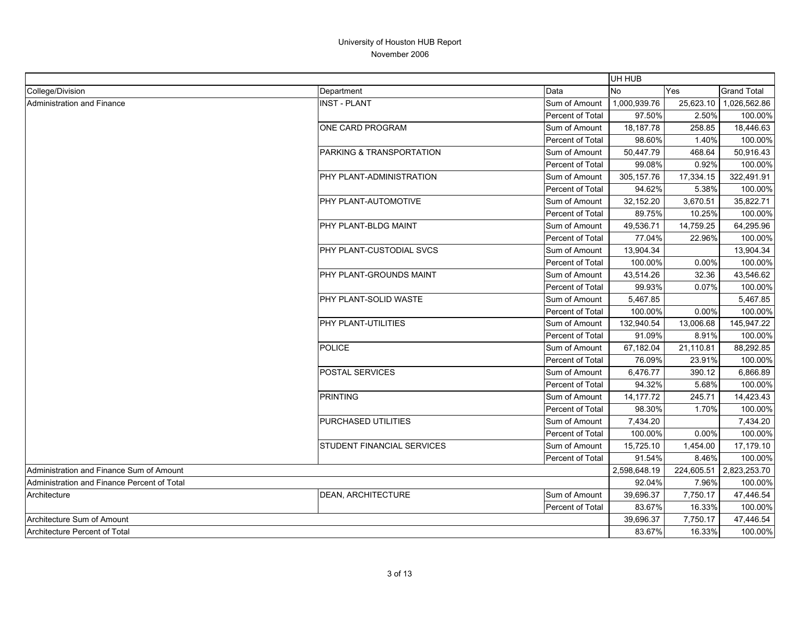|                                             |                            |                  | UH HUB       |            |                    |
|---------------------------------------------|----------------------------|------------------|--------------|------------|--------------------|
| College/Division                            | Department                 | Data             | <b>No</b>    | Yes        | <b>Grand Total</b> |
| Administration and Finance                  | <b>INST - PLANT</b>        | Sum of Amount    | 1,000,939.76 | 25,623.10  | 1,026,562.86       |
|                                             |                            | Percent of Total | 97.50%       | 2.50%      | 100.00%            |
|                                             | ONE CARD PROGRAM           | Sum of Amount    | 18,187.78    | 258.85     | 18,446.63          |
|                                             |                            | Percent of Total | 98.60%       | 1.40%      | 100.00%            |
|                                             | PARKING & TRANSPORTATION   | Sum of Amount    | 50,447.79    | 468.64     | 50,916.43          |
|                                             |                            | Percent of Total | 99.08%       | 0.92%      | 100.00%            |
|                                             | PHY PLANT-ADMINISTRATION   | Sum of Amount    | 305, 157.76  | 17,334.15  | 322,491.91         |
|                                             |                            | Percent of Total | 94.62%       | 5.38%      | 100.00%            |
|                                             | PHY PLANT-AUTOMOTIVE       | Sum of Amount    | 32,152.20    | 3,670.51   | 35,822.71          |
|                                             |                            | Percent of Total | 89.75%       | 10.25%     | 100.00%            |
|                                             | PHY PLANT-BLDG MAINT       | Sum of Amount    | 49,536.71    | 14,759.25  | 64,295.96          |
|                                             |                            | Percent of Total | 77.04%       | 22.96%     | 100.00%            |
|                                             | PHY PLANT-CUSTODIAL SVCS   | Sum of Amount    | 13,904.34    |            | 13,904.34          |
|                                             |                            | Percent of Total | 100.00%      | 0.00%      | 100.00%            |
|                                             | PHY PLANT-GROUNDS MAINT    | Sum of Amount    | 43,514.26    | 32.36      | 43,546.62          |
|                                             |                            | Percent of Total | 99.93%       | 0.07%      | 100.00%            |
|                                             | PHY PLANT-SOLID WASTE      | Sum of Amount    | 5,467.85     |            | 5,467.85           |
|                                             |                            | Percent of Total | 100.00%      | 0.00%      | 100.00%            |
|                                             | PHY PLANT-UTILITIES        | Sum of Amount    | 132,940.54   | 13,006.68  | 145,947.22         |
|                                             |                            | Percent of Total | 91.09%       | 8.91%      | 100.00%            |
|                                             | <b>POLICE</b>              | Sum of Amount    | 67,182.04    | 21,110.81  | 88,292.85          |
|                                             |                            | Percent of Total | 76.09%       | 23.91%     | 100.00%            |
|                                             | <b>POSTAL SERVICES</b>     | Sum of Amount    | 6,476.77     | 390.12     | 6,866.89           |
|                                             |                            | Percent of Total | 94.32%       | 5.68%      | 100.00%            |
|                                             | <b>PRINTING</b>            | Sum of Amount    | 14,177.72    | 245.71     | 14,423.43          |
|                                             |                            | Percent of Total | 98.30%       | 1.70%      | 100.00%            |
|                                             | PURCHASED UTILITIES        | Sum of Amount    | 7,434.20     |            | 7,434.20           |
|                                             |                            | Percent of Total | 100.00%      | 0.00%      | 100.00%            |
|                                             | STUDENT FINANCIAL SERVICES | Sum of Amount    | 15,725.10    | 1,454.00   | 17,179.10          |
|                                             |                            | Percent of Total | 91.54%       | 8.46%      | 100.00%            |
| Administration and Finance Sum of Amount    |                            |                  | 2,598,648.19 | 224,605.51 | 2,823,253.70       |
| Administration and Finance Percent of Total |                            |                  | 92.04%       | 7.96%      | 100.00%            |
| Architecture                                | <b>DEAN, ARCHITECTURE</b>  | Sum of Amount    | 39,696.37    | 7,750.17   | 47,446.54          |
|                                             |                            | Percent of Total | 83.67%       | 16.33%     | 100.00%            |
| Architecture Sum of Amount                  |                            |                  | 39,696.37    | 7,750.17   | 47,446.54          |
| <b>Architecture Percent of Total</b>        |                            |                  | 83.67%       | 16.33%     | 100.00%            |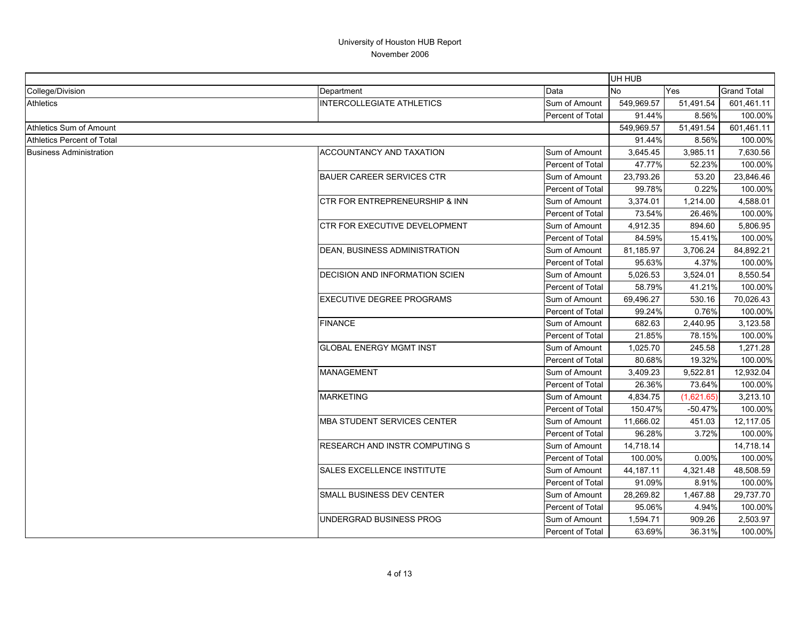|                                |                                           |                  | UH HUB     |            |                    |
|--------------------------------|-------------------------------------------|------------------|------------|------------|--------------------|
| College/Division               | Department                                | Data             | No         | Yes        | <b>Grand Total</b> |
| <b>Athletics</b>               | <b>INTERCOLLEGIATE ATHLETICS</b>          | Sum of Amount    | 549,969.57 | 51,491.54  | 601,461.11         |
|                                |                                           | Percent of Total | 91.44%     | 8.56%      | 100.00%            |
| Athletics Sum of Amount        |                                           |                  | 549,969.57 | 51,491.54  | 601,461.11         |
| Athletics Percent of Total     |                                           |                  | 91.44%     | 8.56%      | 100.00%            |
| <b>Business Administration</b> | <b>ACCOUNTANCY AND TAXATION</b>           | Sum of Amount    | 3,645.45   | 3,985.11   | 7,630.56           |
|                                |                                           | Percent of Total | 47.77%     | 52.23%     | 100.00%            |
|                                | <b>BAUER CAREER SERVICES CTR</b>          | Sum of Amount    | 23,793.26  | 53.20      | 23,846.46          |
|                                |                                           | Percent of Total | 99.78%     | 0.22%      | 100.00%            |
|                                | <b>CTR FOR ENTREPRENEURSHIP &amp; INN</b> | Sum of Amount    | 3,374.01   | 1,214.00   | 4,588.01           |
|                                |                                           | Percent of Total | 73.54%     | 26.46%     | 100.00%            |
|                                | <b>CTR FOR EXECUTIVE DEVELOPMENT</b>      | Sum of Amount    | 4,912.35   | 894.60     | 5,806.95           |
|                                |                                           | Percent of Total | 84.59%     | 15.41%     | 100.00%            |
|                                | DEAN, BUSINESS ADMINISTRATION             | Sum of Amount    | 81,185.97  | 3,706.24   | 84,892.21          |
|                                |                                           | Percent of Total | 95.63%     | 4.37%      | 100.00%            |
|                                | <b>DECISION AND INFORMATION SCIEN</b>     | Sum of Amount    | 5,026.53   | 3,524.01   | 8,550.54           |
|                                |                                           | Percent of Total | 58.79%     | 41.21%     | 100.00%            |
|                                | <b>EXECUTIVE DEGREE PROGRAMS</b>          | Sum of Amount    | 69,496.27  | 530.16     | 70,026.43          |
|                                |                                           | Percent of Total | 99.24%     | 0.76%      | 100.00%            |
|                                | <b>FINANCE</b>                            | Sum of Amount    | 682.63     | 2,440.95   | 3,123.58           |
|                                |                                           | Percent of Total | 21.85%     | 78.15%     | 100.00%            |
|                                | <b>GLOBAL ENERGY MGMT INST</b>            | Sum of Amount    | 1,025.70   | 245.58     | 1,271.28           |
|                                |                                           | Percent of Total | 80.68%     | 19.32%     | 100.00%            |
|                                | <b>MANAGEMENT</b>                         | Sum of Amount    | 3,409.23   | 9,522.81   | 12,932.04          |
|                                |                                           | Percent of Total | 26.36%     | 73.64%     | 100.00%            |
|                                | <b>MARKETING</b>                          | Sum of Amount    | 4,834.75   | (1,621.65) | 3,213.10           |
|                                |                                           | Percent of Total | 150.47%    | $-50.47%$  | 100.00%            |
|                                | <b>MBA STUDENT SERVICES CENTER</b>        | Sum of Amount    | 11,666.02  | 451.03     | 12,117.05          |
|                                |                                           | Percent of Total | 96.28%     | 3.72%      | 100.00%            |
|                                | <b>RESEARCH AND INSTR COMPUTING S</b>     | Sum of Amount    | 14,718.14  |            | 14,718.14          |
|                                |                                           | Percent of Total | 100.00%    | 0.00%      | 100.00%            |
|                                | SALES EXCELLENCE INSTITUTE                | Sum of Amount    | 44,187.11  | 4,321.48   | 48,508.59          |
|                                |                                           | Percent of Total | 91.09%     | 8.91%      | 100.00%            |
|                                | <b>SMALL BUSINESS DEV CENTER</b>          | Sum of Amount    | 28,269.82  | 1,467.88   | 29,737.70          |
|                                |                                           | Percent of Total | 95.06%     | 4.94%      | 100.00%            |
|                                | UNDERGRAD BUSINESS PROG                   | Sum of Amount    | 1,594.71   | 909.26     | 2,503.97           |
|                                |                                           | Percent of Total | 63.69%     | 36.31%     | 100.00%            |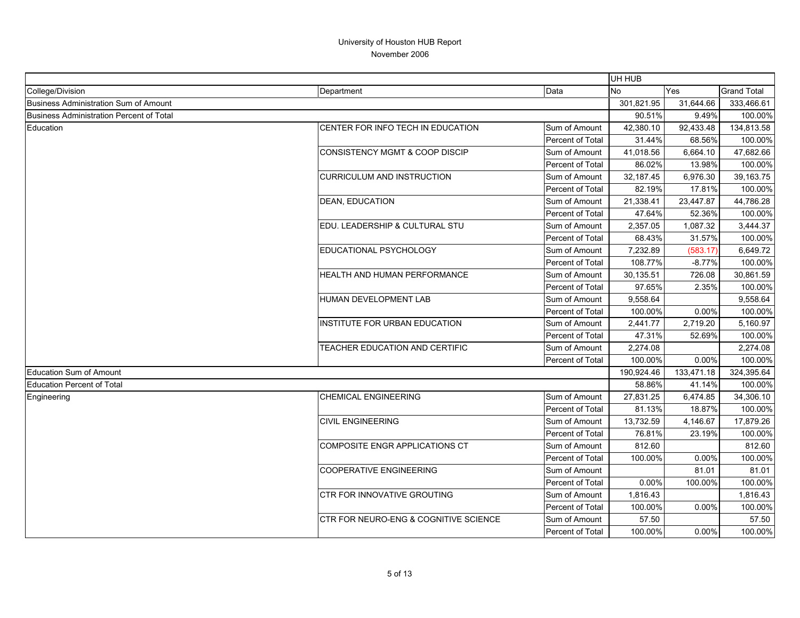|                                                 |                                       |                         | UH HUB     |            |                    |
|-------------------------------------------------|---------------------------------------|-------------------------|------------|------------|--------------------|
| College/Division                                | Department                            | Data                    | <b>No</b>  | Yes        | <b>Grand Total</b> |
| <b>Business Administration Sum of Amount</b>    |                                       |                         | 301,821.95 | 31,644.66  | 333,466.61         |
| <b>Business Administration Percent of Total</b> |                                       |                         | 90.51%     | 9.49%      | 100.00%            |
| Education                                       | CENTER FOR INFO TECH IN EDUCATION     | Sum of Amount           | 42,380.10  | 92,433.48  | 134,813.58         |
|                                                 |                                       | Percent of Total        | 31.44%     | 68.56%     | 100.00%            |
|                                                 | CONSISTENCY MGMT & COOP DISCIP        | Sum of Amount           | 41,018.56  | 6,664.10   | 47,682.66          |
|                                                 |                                       | Percent of Total        | 86.02%     | 13.98%     | 100.00%            |
|                                                 | <b>CURRICULUM AND INSTRUCTION</b>     | Sum of Amount           | 32,187.45  | 6,976.30   | 39,163.75          |
|                                                 |                                       | Percent of Total        | 82.19%     | 17.81%     | 100.00%            |
|                                                 | <b>DEAN, EDUCATION</b>                | Sum of Amount           | 21,338.41  | 23,447.87  | 44,786.28          |
|                                                 |                                       | Percent of Total        | 47.64%     | 52.36%     | 100.00%            |
|                                                 | EDU. LEADERSHIP & CULTURAL STU        | Sum of Amount           | 2,357.05   | 1,087.32   | 3,444.37           |
|                                                 |                                       | Percent of Total        | 68.43%     | 31.57%     | 100.00%            |
|                                                 | EDUCATIONAL PSYCHOLOGY                | Sum of Amount           | 7,232.89   | (583.17)   | 6,649.72           |
|                                                 |                                       | Percent of Total        | 108.77%    | $-8.77%$   | 100.00%            |
|                                                 | HEALTH AND HUMAN PERFORMANCE          | Sum of Amount           | 30,135.51  | 726.08     | 30,861.59          |
|                                                 |                                       | Percent of Total        | 97.65%     | 2.35%      | 100.00%            |
|                                                 | <b>HUMAN DEVELOPMENT LAB</b>          | Sum of Amount           | 9,558.64   |            | 9,558.64           |
|                                                 |                                       | Percent of Total        | 100.00%    | 0.00%      | 100.00%            |
|                                                 | <b>INSTITUTE FOR URBAN EDUCATION</b>  | Sum of Amount           | 2,441.77   | 2,719.20   | 5,160.97           |
|                                                 |                                       | <b>Percent of Total</b> | 47.31%     | 52.69%     | 100.00%            |
|                                                 | TEACHER EDUCATION AND CERTIFIC        | Sum of Amount           | 2,274.08   |            | 2,274.08           |
|                                                 |                                       | Percent of Total        | 100.00%    | 0.00%      | 100.00%            |
| <b>Education Sum of Amount</b>                  |                                       |                         | 190,924.46 | 133,471.18 | 324,395.64         |
| <b>Education Percent of Total</b>               |                                       |                         | 58.86%     | 41.14%     | 100.00%            |
| Engineering                                     | <b>CHEMICAL ENGINEERING</b>           | Sum of Amount           | 27,831.25  | 6,474.85   | 34,306.10          |
|                                                 |                                       | Percent of Total        | 81.13%     | 18.87%     | 100.00%            |
|                                                 | <b>CIVIL ENGINEERING</b>              | Sum of Amount           | 13,732.59  | 4,146.67   | 17,879.26          |
|                                                 |                                       | Percent of Total        | 76.81%     | 23.19%     | 100.00%            |
|                                                 | COMPOSITE ENGR APPLICATIONS CT        | Sum of Amount           | 812.60     |            | 812.60             |
|                                                 |                                       | Percent of Total        | 100.00%    | 0.00%      | 100.00%            |
|                                                 | <b>COOPERATIVE ENGINEERING</b>        | Sum of Amount           |            | 81.01      | 81.01              |
|                                                 |                                       | Percent of Total        | 0.00%      | 100.00%    | 100.00%            |
|                                                 | CTR FOR INNOVATIVE GROUTING           | Sum of Amount           | 1,816.43   |            | 1,816.43           |
|                                                 |                                       | Percent of Total        | 100.00%    | 0.00%      | 100.00%            |
|                                                 | CTR FOR NEURO-ENG & COGNITIVE SCIENCE | Sum of Amount           | 57.50      |            | 57.50              |
|                                                 |                                       | Percent of Total        | 100.00%    | 0.00%      | 100.00%            |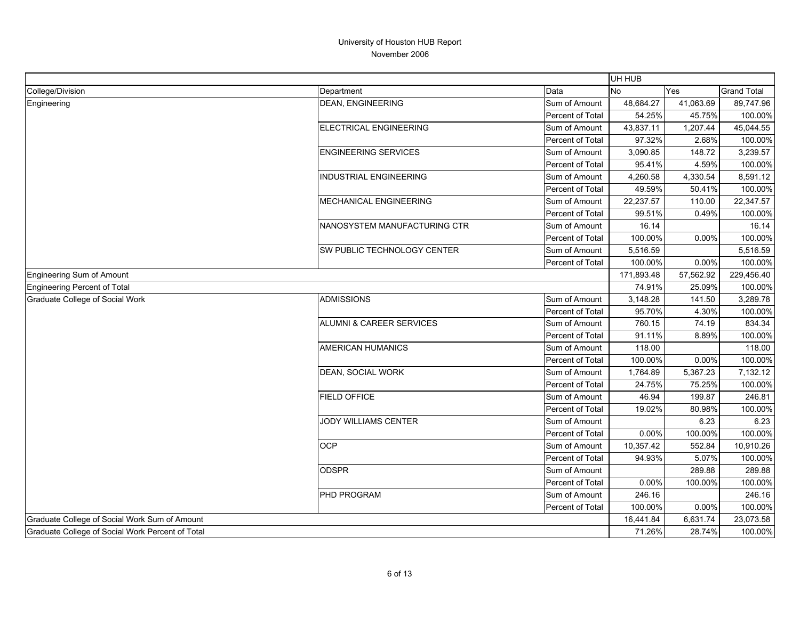|                                                  |                               |                  | UH HUB     |           |                    |
|--------------------------------------------------|-------------------------------|------------------|------------|-----------|--------------------|
| College/Division                                 | Department                    | Data             | No         | Yes       | <b>Grand Total</b> |
| Engineering                                      | <b>DEAN, ENGINEERING</b>      | Sum of Amount    | 48,684.27  | 41,063.69 | 89,747.96          |
|                                                  |                               | Percent of Total | 54.25%     | 45.75%    | 100.00%            |
|                                                  | ELECTRICAL ENGINEERING        | Sum of Amount    | 43,837.11  | 1,207.44  | 45,044.55          |
|                                                  |                               | Percent of Total | 97.32%     | 2.68%     | 100.00%            |
|                                                  | <b>ENGINEERING SERVICES</b>   | Sum of Amount    | 3,090.85   | 148.72    | 3,239.57           |
|                                                  |                               | Percent of Total | 95.41%     | 4.59%     | 100.00%            |
|                                                  | <b>INDUSTRIAL ENGINEERING</b> | Sum of Amount    | 4,260.58   | 4,330.54  | 8,591.12           |
|                                                  |                               | Percent of Total | 49.59%     | 50.41%    | 100.00%            |
|                                                  | MECHANICAL ENGINEERING        | Sum of Amount    | 22,237.57  | 110.00    | 22,347.57          |
|                                                  |                               | Percent of Total | 99.51%     | 0.49%     | 100.00%            |
|                                                  | NANOSYSTEM MANUFACTURING CTR  | Sum of Amount    | 16.14      |           | 16.14              |
|                                                  |                               | Percent of Total | 100.00%    | 0.00%     | 100.00%            |
|                                                  | SW PUBLIC TECHNOLOGY CENTER   | Sum of Amount    | 5,516.59   |           | 5,516.59           |
|                                                  |                               | Percent of Total | 100.00%    | 0.00%     | 100.00%            |
| <b>Engineering Sum of Amount</b>                 |                               |                  | 171,893.48 | 57,562.92 | 229,456.40         |
| Engineering Percent of Total                     |                               |                  | 74.91%     | 25.09%    | 100.00%            |
| Graduate College of Social Work                  | <b>ADMISSIONS</b>             | Sum of Amount    | 3,148.28   | 141.50    | 3,289.78           |
|                                                  |                               | Percent of Total | 95.70%     | 4.30%     | 100.00%            |
|                                                  | ALUMNI & CAREER SERVICES      | Sum of Amount    | 760.15     | 74.19     | 834.34             |
|                                                  |                               | Percent of Total | 91.11%     | 8.89%     | 100.00%            |
|                                                  | <b>AMERICAN HUMANICS</b>      | Sum of Amount    | 118.00     |           | 118.00             |
|                                                  |                               | Percent of Total | 100.00%    | 0.00%     | 100.00%            |
|                                                  | DEAN, SOCIAL WORK             | Sum of Amount    | 1,764.89   | 5,367.23  | 7,132.12           |
|                                                  |                               | Percent of Total | 24.75%     | 75.25%    | 100.00%            |
|                                                  | <b>FIELD OFFICE</b>           | Sum of Amount    | 46.94      | 199.87    | 246.81             |
|                                                  |                               | Percent of Total | 19.02%     | 80.98%    | 100.00%            |
|                                                  | JODY WILLIAMS CENTER          | Sum of Amount    |            | 6.23      | 6.23               |
|                                                  |                               | Percent of Total | 0.00%      | 100.00%   | 100.00%            |
|                                                  | <b>OCP</b>                    | Sum of Amount    | 10,357.42  | 552.84    | 10,910.26          |
|                                                  |                               | Percent of Total | 94.93%     | 5.07%     | 100.00%            |
|                                                  | <b>ODSPR</b>                  | Sum of Amount    |            | 289.88    | 289.88             |
|                                                  |                               | Percent of Total | 0.00%      | 100.00%   | 100.00%            |
|                                                  | PHD PROGRAM                   | Sum of Amount    | 246.16     |           | 246.16             |
|                                                  |                               | Percent of Total | 100.00%    | 0.00%     | 100.00%            |
| Graduate College of Social Work Sum of Amount    |                               |                  |            | 6,631.74  | 23,073.58          |
| Graduate College of Social Work Percent of Total |                               |                  | 71.26%     | 28.74%    | 100.00%            |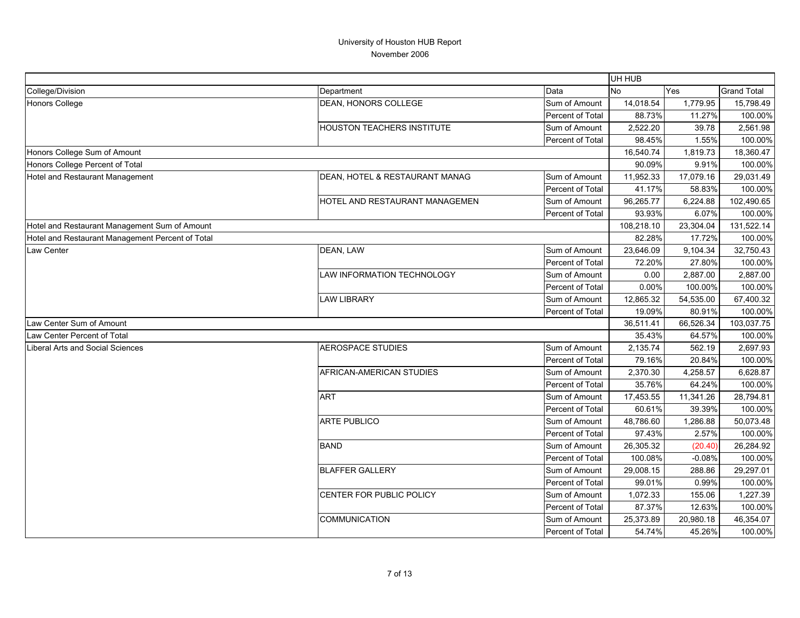|                                                  |                                       |                  | UH HUB     |           |                    |
|--------------------------------------------------|---------------------------------------|------------------|------------|-----------|--------------------|
| College/Division                                 | Department                            | Data             | <b>No</b>  | Yes       | <b>Grand Total</b> |
| <b>Honors College</b>                            | DEAN, HONORS COLLEGE                  | Sum of Amount    | 14,018.54  | 1,779.95  | 15,798.49          |
|                                                  |                                       | Percent of Total | 88.73%     | 11.27%    | 100.00%            |
|                                                  | <b>HOUSTON TEACHERS INSTITUTE</b>     | Sum of Amount    | 2,522.20   | 39.78     | 2,561.98           |
|                                                  |                                       | Percent of Total | 98.45%     | 1.55%     | 100.00%            |
| Honors College Sum of Amount                     |                                       |                  | 16,540.74  | 1,819.73  | 18,360.47          |
| Honors College Percent of Total                  |                                       |                  | 90.09%     | 9.91%     | 100.00%            |
| Hotel and Restaurant Management                  | DEAN, HOTEL & RESTAURANT MANAG        | Sum of Amount    | 11,952.33  | 17,079.16 | 29,031.49          |
|                                                  |                                       | Percent of Total | 41.17%     | 58.83%    | 100.00%            |
|                                                  | <b>HOTEL AND RESTAURANT MANAGEMEN</b> | Sum of Amount    | 96,265.77  | 6,224.88  | 102,490.65         |
|                                                  |                                       | Percent of Total | 93.93%     | 6.07%     | 100.00%            |
| Hotel and Restaurant Management Sum of Amount    |                                       |                  | 108,218.10 | 23,304.04 | 131,522.14         |
| Hotel and Restaurant Management Percent of Total |                                       |                  | 82.28%     | 17.72%    | 100.00%            |
| Law Center                                       | DEAN, LAW                             | Sum of Amount    | 23,646.09  | 9,104.34  | 32,750.43          |
|                                                  |                                       | Percent of Total | 72.20%     | 27.80%    | 100.00%            |
|                                                  | <b>LAW INFORMATION TECHNOLOGY</b>     | Sum of Amount    | 0.00       | 2,887.00  | 2,887.00           |
|                                                  |                                       | Percent of Total | 0.00%      | 100.00%   | 100.00%            |
|                                                  | <b>LAW LIBRARY</b>                    | Sum of Amount    | 12,865.32  | 54,535.00 | 67,400.32          |
|                                                  |                                       | Percent of Total | 19.09%     | 80.91%    | 100.00%            |
| Law Center Sum of Amount                         |                                       |                  |            | 66,526.34 | 103,037.75         |
| Law Center Percent of Total                      |                                       |                  | 35.43%     | 64.57%    | 100.00%            |
| <b>Liberal Arts and Social Sciences</b>          | <b>AEROSPACE STUDIES</b>              | Sum of Amount    | 2,135.74   | 562.19    | 2,697.93           |
|                                                  |                                       | Percent of Total | 79.16%     | 20.84%    | 100.00%            |
|                                                  | AFRICAN-AMERICAN STUDIES              | Sum of Amount    | 2,370.30   | 4,258.57  | 6,628.87           |
|                                                  |                                       | Percent of Total | 35.76%     | 64.24%    | 100.00%            |
|                                                  | <b>ART</b>                            | Sum of Amount    | 17,453.55  | 11,341.26 | 28,794.81          |
|                                                  |                                       | Percent of Total | 60.61%     | 39.39%    | 100.00%            |
|                                                  | <b>ARTE PUBLICO</b>                   | Sum of Amount    | 48,786.60  | 1,286.88  | 50,073.48          |
|                                                  |                                       | Percent of Total | 97.43%     | 2.57%     | 100.00%            |
|                                                  | <b>BAND</b>                           | Sum of Amount    | 26,305.32  | (20.40)   | 26,284.92          |
|                                                  |                                       | Percent of Total | 100.08%    | $-0.08%$  | 100.00%            |
|                                                  | <b>BLAFFER GALLERY</b>                | Sum of Amount    | 29,008.15  | 288.86    | 29,297.01          |
|                                                  |                                       | Percent of Total | 99.01%     | 0.99%     | 100.00%            |
|                                                  | CENTER FOR PUBLIC POLICY              | Sum of Amount    | 1,072.33   | 155.06    | 1,227.39           |
|                                                  |                                       | Percent of Total | 87.37%     | 12.63%    | 100.00%            |
|                                                  | COMMUNICATION                         | Sum of Amount    | 25,373.89  | 20,980.18 | 46,354.07          |
|                                                  |                                       | Percent of Total | 54.74%     | 45.26%    | 100.00%            |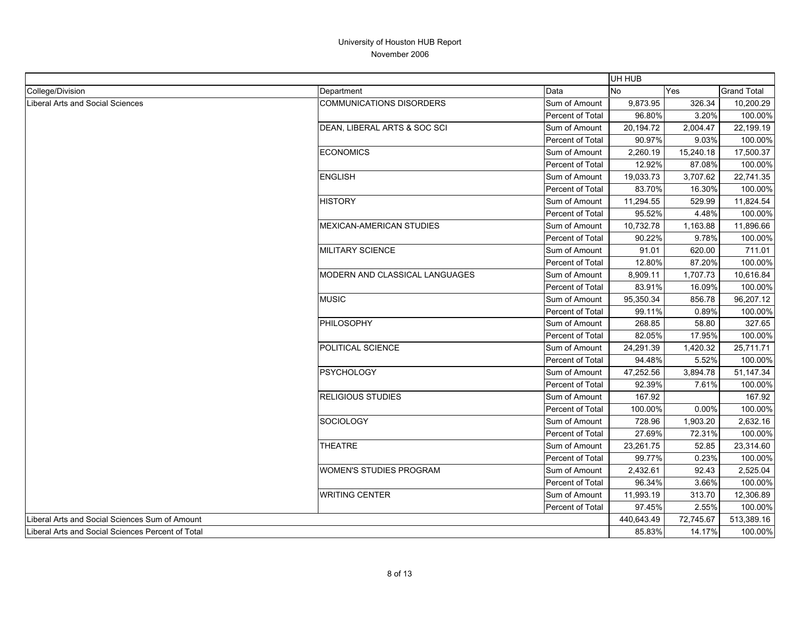|                                                   |                                 |                  | UH HUB     |            |                    |
|---------------------------------------------------|---------------------------------|------------------|------------|------------|--------------------|
| College/Division                                  | Department                      | Data             | <b>No</b>  | <b>Yes</b> | <b>Grand Total</b> |
| <b>Liberal Arts and Social Sciences</b>           | <b>COMMUNICATIONS DISORDERS</b> | Sum of Amount    | 9,873.95   | 326.34     | 10,200.29          |
|                                                   |                                 | Percent of Total | 96.80%     | 3.20%      | 100.00%            |
|                                                   | DEAN, LIBERAL ARTS & SOC SCI    | Sum of Amount    | 20,194.72  | 2,004.47   | 22,199.19          |
|                                                   |                                 | Percent of Total | 90.97%     | 9.03%      | 100.00%            |
|                                                   | <b>ECONOMICS</b>                | Sum of Amount    | 2,260.19   | 15,240.18  | 17,500.37          |
|                                                   |                                 | Percent of Total | 12.92%     | 87.08%     | 100.00%            |
|                                                   | <b>ENGLISH</b>                  | Sum of Amount    | 19,033.73  | 3,707.62   | 22,741.35          |
|                                                   |                                 | Percent of Total | 83.70%     | 16.30%     | 100.00%            |
|                                                   | <b>HISTORY</b>                  | Sum of Amount    | 11,294.55  | 529.99     | 11,824.54          |
|                                                   |                                 | Percent of Total | 95.52%     | 4.48%      | 100.00%            |
|                                                   | <b>MEXICAN-AMERICAN STUDIES</b> | Sum of Amount    | 10,732.78  | 1,163.88   | 11,896.66          |
|                                                   |                                 | Percent of Total | 90.22%     | 9.78%      | 100.00%            |
|                                                   | <b>MILITARY SCIENCE</b>         | Sum of Amount    | 91.01      | 620.00     | 711.01             |
|                                                   |                                 | Percent of Total | 12.80%     | 87.20%     | 100.00%            |
|                                                   | MODERN AND CLASSICAL LANGUAGES  | Sum of Amount    | 8,909.11   | 1,707.73   | 10,616.84          |
|                                                   |                                 | Percent of Total | 83.91%     | 16.09%     | 100.00%            |
|                                                   | <b>MUSIC</b>                    | Sum of Amount    | 95,350.34  | 856.78     | 96,207.12          |
|                                                   |                                 | Percent of Total | 99.11%     | 0.89%      | 100.00%            |
|                                                   | PHILOSOPHY                      | Sum of Amount    | 268.85     | 58.80      | 327.65             |
|                                                   |                                 | Percent of Total | 82.05%     | 17.95%     | 100.00%            |
|                                                   | POLITICAL SCIENCE               | Sum of Amount    | 24,291.39  | 1,420.32   | 25,711.71          |
|                                                   |                                 | Percent of Total | 94.48%     | 5.52%      | 100.00%            |
|                                                   | <b>PSYCHOLOGY</b>               | Sum of Amount    | 47,252.56  | 3,894.78   | 51,147.34          |
|                                                   |                                 | Percent of Total | 92.39%     | 7.61%      | 100.00%            |
|                                                   | <b>RELIGIOUS STUDIES</b>        | Sum of Amount    | 167.92     |            | 167.92             |
|                                                   |                                 | Percent of Total | 100.00%    | 0.00%      | 100.00%            |
|                                                   | SOCIOLOGY                       | Sum of Amount    | 728.96     | 1,903.20   | 2,632.16           |
|                                                   |                                 | Percent of Total | 27.69%     | 72.31%     | 100.00%            |
|                                                   | <b>THEATRE</b>                  | Sum of Amount    | 23,261.75  | 52.85      | 23,314.60          |
|                                                   |                                 | Percent of Total | 99.77%     | 0.23%      | 100.00%            |
|                                                   | WOMEN'S STUDIES PROGRAM         | Sum of Amount    | 2,432.61   | 92.43      | 2,525.04           |
|                                                   |                                 | Percent of Total | 96.34%     | 3.66%      | 100.00%            |
|                                                   | <b>WRITING CENTER</b>           | Sum of Amount    | 11,993.19  | 313.70     | 12,306.89          |
|                                                   |                                 | Percent of Total | 97.45%     | 2.55%      | 100.00%            |
| Liberal Arts and Social Sciences Sum of Amount    |                                 |                  | 440,643.49 | 72,745.67  | 513,389.16         |
| Liberal Arts and Social Sciences Percent of Total |                                 |                  | 85.83%     | 14.17%     | 100.00%            |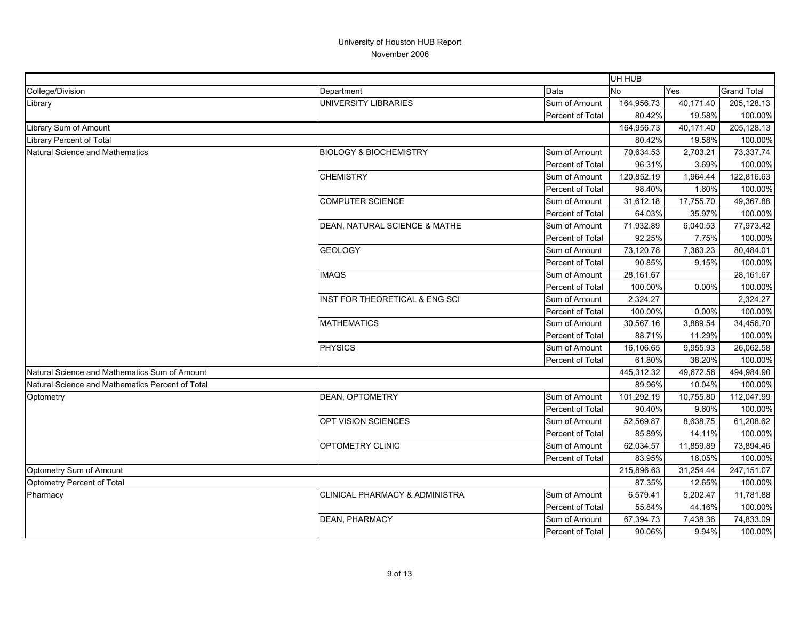|                                                  |                                          |                  | UH HUB     |           |                    |
|--------------------------------------------------|------------------------------------------|------------------|------------|-----------|--------------------|
| College/Division                                 | Department                               | Data             | <b>No</b>  | Yes       | <b>Grand Total</b> |
| Library                                          | UNIVERSITY LIBRARIES                     | Sum of Amount    | 164,956.73 | 40,171.40 | 205,128.13         |
|                                                  |                                          | Percent of Total | 80.42%     | 19.58%    | 100.00%            |
| Library Sum of Amount                            |                                          |                  | 164,956.73 | 40,171.40 | 205,128.13         |
| Library Percent of Total                         |                                          |                  | 80.42%     | 19.58%    | 100.00%            |
| Natural Science and Mathematics                  | <b>BIOLOGY &amp; BIOCHEMISTRY</b>        | Sum of Amount    | 70,634.53  | 2,703.21  | 73,337.74          |
|                                                  |                                          | Percent of Total | 96.31%     | 3.69%     | 100.00%            |
|                                                  | <b>CHEMISTRY</b>                         | Sum of Amount    | 120,852.19 | 1,964.44  | 122,816.63         |
|                                                  |                                          | Percent of Total | 98.40%     | 1.60%     | 100.00%            |
|                                                  | COMPUTER SCIENCE                         | Sum of Amount    | 31,612.18  | 17,755.70 | 49,367.88          |
|                                                  |                                          | Percent of Total | 64.03%     | 35.97%    | 100.00%            |
|                                                  | <b>DEAN, NATURAL SCIENCE &amp; MATHE</b> | Sum of Amount    | 71,932.89  | 6,040.53  | 77,973.42          |
|                                                  |                                          | Percent of Total | 92.25%     | 7.75%     | 100.00%            |
|                                                  | <b>GEOLOGY</b>                           | Sum of Amount    | 73,120.78  | 7,363.23  | 80,484.01          |
|                                                  |                                          | Percent of Total | 90.85%     | 9.15%     | 100.00%            |
|                                                  | <b>IMAQS</b>                             | Sum of Amount    | 28,161.67  |           | 28,161.67          |
|                                                  |                                          | Percent of Total | 100.00%    | 0.00%     | 100.00%            |
|                                                  | INST FOR THEORETICAL & ENG SCI           | Sum of Amount    | 2,324.27   |           | 2,324.27           |
|                                                  |                                          | Percent of Total | 100.00%    | 0.00%     | 100.00%            |
|                                                  | <b>MATHEMATICS</b>                       | Sum of Amount    | 30,567.16  | 3,889.54  | 34,456.70          |
|                                                  |                                          | Percent of Total | 88.71%     | 11.29%    | 100.00%            |
|                                                  | <b>PHYSICS</b>                           | Sum of Amount    | 16,106.65  | 9,955.93  | 26,062.58          |
|                                                  |                                          | Percent of Total | 61.80%     | 38.20%    | 100.00%            |
| Natural Science and Mathematics Sum of Amount    |                                          |                  | 445,312.32 | 49,672.58 | 494,984.90         |
| Natural Science and Mathematics Percent of Total |                                          |                  | 89.96%     | 10.04%    | 100.00%            |
| Optometry                                        | <b>DEAN, OPTOMETRY</b>                   | Sum of Amount    | 101,292.19 | 10,755.80 | 112,047.99         |
|                                                  |                                          | Percent of Total | 90.40%     | 9.60%     | 100.00%            |
|                                                  | OPT VISION SCIENCES                      | Sum of Amount    | 52,569.87  | 8,638.75  | 61,208.62          |
|                                                  |                                          | Percent of Total | 85.89%     | 14.11%    | 100.00%            |
|                                                  | <b>OPTOMETRY CLINIC</b>                  | Sum of Amount    | 62,034.57  | 11,859.89 | 73,894.46          |
|                                                  |                                          | Percent of Total | 83.95%     | 16.05%    | 100.00%            |
| Optometry Sum of Amount                          |                                          |                  | 215,896.63 | 31,254.44 | 247,151.07         |
| Optometry Percent of Total                       |                                          |                  | 87.35%     | 12.65%    | 100.00%            |
| Pharmacy                                         | ICLINICAL PHARMACY & ADMINISTRA          | Sum of Amount    | 6,579.41   | 5,202.47  | 11,781.88          |
|                                                  |                                          | Percent of Total | 55.84%     | 44.16%    | 100.00%            |
|                                                  | <b>DEAN, PHARMACY</b>                    | Sum of Amount    | 67,394.73  | 7,438.36  | 74,833.09          |
|                                                  |                                          | Percent of Total | 90.06%     | 9.94%     | 100.00%            |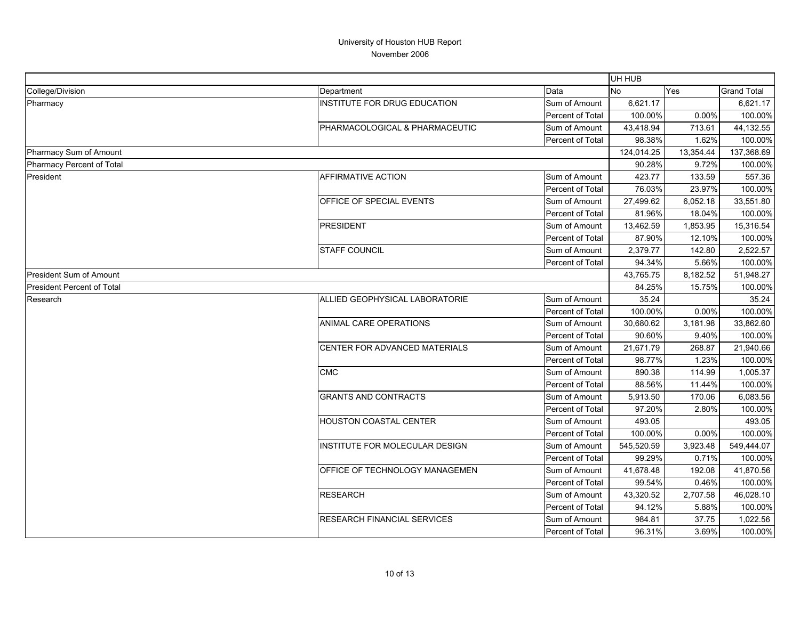|                                   |                                    |                  | UH HUB     |           |                    |
|-----------------------------------|------------------------------------|------------------|------------|-----------|--------------------|
| College/Division                  | Department                         | Data             | <b>No</b>  | Yes       | <b>Grand Total</b> |
| Pharmacy                          | INSTITUTE FOR DRUG EDUCATION       | Sum of Amount    | 6,621.17   |           | 6,621.17           |
|                                   |                                    | Percent of Total | 100.00%    | 0.00%     | 100.00%            |
|                                   | PHARMACOLOGICAL & PHARMACEUTIC     | Sum of Amount    | 43,418.94  | 713.61    | 44,132.55          |
|                                   |                                    | Percent of Total | 98.38%     | 1.62%     | 100.00%            |
| Pharmacy Sum of Amount            |                                    |                  | 124,014.25 | 13,354.44 | 137,368.69         |
| Pharmacy Percent of Total         |                                    |                  | 90.28%     | 9.72%     | 100.00%            |
| President                         | <b>AFFIRMATIVE ACTION</b>          | Sum of Amount    | 423.77     | 133.59    | 557.36             |
|                                   |                                    | Percent of Total | 76.03%     | 23.97%    | 100.00%            |
|                                   | OFFICE OF SPECIAL EVENTS           | Sum of Amount    | 27,499.62  | 6,052.18  | 33,551.80          |
|                                   |                                    | Percent of Total | 81.96%     | 18.04%    | 100.00%            |
|                                   | <b>PRESIDENT</b>                   | Sum of Amount    | 13,462.59  | 1,853.95  | 15,316.54          |
|                                   |                                    | Percent of Total | 87.90%     | 12.10%    | 100.00%            |
|                                   | <b>STAFF COUNCIL</b>               | Sum of Amount    | 2,379.77   | 142.80    | 2,522.57           |
|                                   |                                    | Percent of Total | 94.34%     | 5.66%     | 100.00%            |
| <b>President Sum of Amount</b>    |                                    |                  | 43,765.75  | 8,182.52  | 51,948.27          |
| <b>President Percent of Total</b> |                                    |                  | 84.25%     | 15.75%    | 100.00%            |
| Research                          | ALLIED GEOPHYSICAL LABORATORIE     | Sum of Amount    | 35.24      |           | 35.24              |
|                                   |                                    | Percent of Total | 100.00%    | 0.00%     | 100.00%            |
|                                   | ANIMAL CARE OPERATIONS             | Sum of Amount    | 30,680.62  | 3,181.98  | 33,862.60          |
|                                   |                                    | Percent of Total | 90.60%     | 9.40%     | 100.00%            |
|                                   | CENTER FOR ADVANCED MATERIALS      | Sum of Amount    | 21,671.79  | 268.87    | 21,940.66          |
|                                   |                                    | Percent of Total | 98.77%     | 1.23%     | 100.00%            |
|                                   | <b>CMC</b>                         | Sum of Amount    | 890.38     | 114.99    | 1,005.37           |
|                                   |                                    | Percent of Total | 88.56%     | 11.44%    | 100.00%            |
|                                   | <b>GRANTS AND CONTRACTS</b>        | Sum of Amount    | 5,913.50   | 170.06    | 6,083.56           |
|                                   |                                    | Percent of Total | 97.20%     | 2.80%     | 100.00%            |
|                                   | <b>HOUSTON COASTAL CENTER</b>      | Sum of Amount    | 493.05     |           | 493.05             |
|                                   |                                    | Percent of Total | 100.00%    | 0.00%     | 100.00%            |
|                                   | INSTITUTE FOR MOLECULAR DESIGN     | Sum of Amount    | 545,520.59 | 3,923.48  | 549,444.07         |
|                                   |                                    | Percent of Total | 99.29%     | 0.71%     | 100.00%            |
|                                   | OFFICE OF TECHNOLOGY MANAGEMEN     | Sum of Amount    | 41,678.48  | 192.08    | 41,870.56          |
|                                   |                                    | Percent of Total | 99.54%     | 0.46%     | 100.00%            |
|                                   | <b>RESEARCH</b>                    | Sum of Amount    | 43,320.52  | 2,707.58  | 46,028.10          |
|                                   |                                    | Percent of Total | 94.12%     | 5.88%     | 100.00%            |
|                                   | <b>RESEARCH FINANCIAL SERVICES</b> | Sum of Amount    | 984.81     | 37.75     | 1,022.56           |
|                                   |                                    | Percent of Total | 96.31%     | 3.69%     | 100.00%            |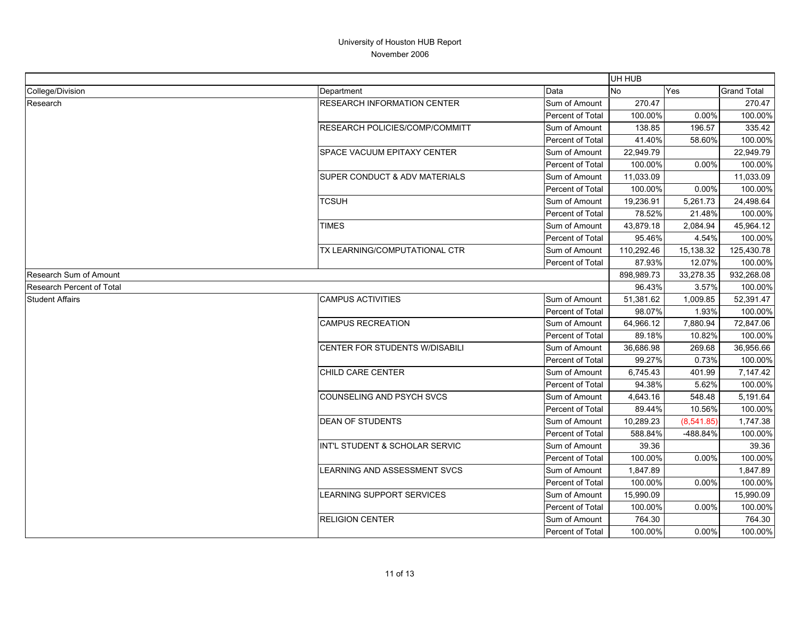|                                  |                                    |                         | UH HUB     |            |                    |
|----------------------------------|------------------------------------|-------------------------|------------|------------|--------------------|
| College/Division                 | Department                         | Data                    | No         | Yes        | <b>Grand Total</b> |
| Research                         | <b>RESEARCH INFORMATION CENTER</b> | Sum of Amount           | 270.47     |            | 270.47             |
|                                  |                                    | <b>Percent of Total</b> | 100.00%    | 0.00%      | 100.00%            |
|                                  | RESEARCH POLICIES/COMP/COMMITT     | Sum of Amount           | 138.85     | 196.57     | 335.42             |
|                                  |                                    | Percent of Total        | 41.40%     | 58.60%     | 100.00%            |
|                                  | <b>SPACE VACUUM EPITAXY CENTER</b> | Sum of Amount           | 22,949.79  |            | 22,949.79          |
|                                  |                                    | Percent of Total        | 100.00%    | 0.00%      | 100.00%            |
|                                  | SUPER CONDUCT & ADV MATERIALS      | Sum of Amount           | 11,033.09  |            | 11,033.09          |
|                                  |                                    | Percent of Total        | 100.00%    | 0.00%      | 100.00%            |
|                                  | TCSUH                              | Sum of Amount           | 19,236.91  | 5,261.73   | 24,498.64          |
|                                  |                                    | Percent of Total        | 78.52%     | 21.48%     | 100.00%            |
|                                  | TIMES                              | Sum of Amount           | 43,879.18  | 2,084.94   | 45,964.12          |
|                                  |                                    | Percent of Total        | 95.46%     | 4.54%      | 100.00%            |
|                                  | TX LEARNING/COMPUTATIONAL CTR      | Sum of Amount           | 110,292.46 | 15,138.32  | 125,430.78         |
|                                  |                                    | Percent of Total        | 87.93%     | 12.07%     | 100.00%            |
| Research Sum of Amount           |                                    |                         | 898,989.73 | 33,278.35  | 932,268.08         |
| <b>Research Percent of Total</b> |                                    |                         | 96.43%     | 3.57%      | 100.00%            |
| <b>Student Affairs</b>           | <b>CAMPUS ACTIVITIES</b>           | Sum of Amount           | 51,381.62  | 1,009.85   | 52,391.47          |
|                                  |                                    | Percent of Total        | 98.07%     | 1.93%      | 100.00%            |
|                                  | <b>CAMPUS RECREATION</b>           | Sum of Amount           | 64,966.12  | 7,880.94   | 72,847.06          |
|                                  |                                    | Percent of Total        | 89.18%     | 10.82%     | 100.00%            |
|                                  | CENTER FOR STUDENTS W/DISABILI     | Sum of Amount           | 36,686.98  | 269.68     | 36,956.66          |
|                                  |                                    | Percent of Total        | 99.27%     | 0.73%      | 100.00%            |
|                                  | CHILD CARE CENTER                  | Sum of Amount           | 6,745.43   | 401.99     | 7,147.42           |
|                                  |                                    | Percent of Total        | 94.38%     | 5.62%      | 100.00%            |
|                                  | <b>COUNSELING AND PSYCH SVCS</b>   | Sum of Amount           | 4,643.16   | 548.48     | 5,191.64           |
|                                  |                                    | <b>Percent of Total</b> | 89.44%     | 10.56%     | 100.00%            |
|                                  | <b>DEAN OF STUDENTS</b>            | Sum of Amount           | 10,289.23  | (8,541.85) | 1,747.38           |
|                                  |                                    | Percent of Total        | 588.84%    | -488.84%   | 100.00%            |
|                                  | INT'L STUDENT & SCHOLAR SERVIC     | Sum of Amount           | 39.36      |            | 39.36              |
|                                  |                                    | <b>Percent of Total</b> | 100.00%    | 0.00%      | 100.00%            |
|                                  | LEARNING AND ASSESSMENT SVCS       | Sum of Amount           | 1,847.89   |            | 1,847.89           |
|                                  |                                    | Percent of Total        | 100.00%    | 0.00%      | 100.00%            |
|                                  | <b>EARNING SUPPORT SERVICES</b>    | Sum of Amount           | 15,990.09  |            | 15,990.09          |
|                                  |                                    | <b>Percent of Total</b> | 100.00%    | 0.00%      | 100.00%            |
|                                  | <b>RELIGION CENTER</b>             | Sum of Amount           | 764.30     |            | 764.30             |
|                                  |                                    | Percent of Total        | 100.00%    | 0.00%      | 100.00%            |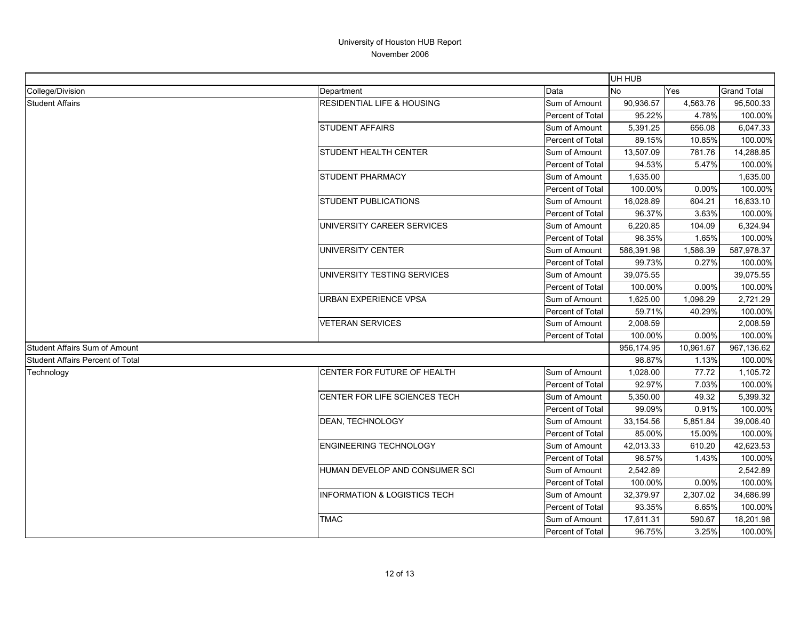|                                         |                                         |                         | UH HUB     |           |                    |
|-----------------------------------------|-----------------------------------------|-------------------------|------------|-----------|--------------------|
| College/Division                        | Department                              | Data                    | <b>No</b>  | Yes       | <b>Grand Total</b> |
| <b>Student Affairs</b>                  | <b>RESIDENTIAL LIFE &amp; HOUSING</b>   | Sum of Amount           | 90,936.57  | 4,563.76  | 95,500.33          |
|                                         |                                         | Percent of Total        | 95.22%     | 4.78%     | 100.00%            |
|                                         | <b>STUDENT AFFAIRS</b>                  | Sum of Amount           | 5,391.25   | 656.08    | 6,047.33           |
|                                         |                                         | Percent of Total        | 89.15%     | 10.85%    | 100.00%            |
|                                         | <b>STUDENT HEALTH CENTER</b>            | Sum of Amount           | 13,507.09  | 781.76    | 14,288.85          |
|                                         |                                         | Percent of Total        | 94.53%     | 5.47%     | 100.00%            |
|                                         | <b>STUDENT PHARMACY</b>                 | Sum of Amount           | 1,635.00   |           | 1,635.00           |
|                                         |                                         | <b>Percent of Total</b> | 100.00%    | 0.00%     | 100.00%            |
|                                         | <b>STUDENT PUBLICATIONS</b>             | Sum of Amount           | 16,028.89  | 604.21    | 16,633.10          |
|                                         |                                         | <b>Percent of Total</b> | 96.37%     | 3.63%     | 100.00%            |
|                                         | UNIVERSITY CAREER SERVICES              | Sum of Amount           | 6,220.85   | 104.09    | 6,324.94           |
|                                         |                                         | Percent of Total        | 98.35%     | 1.65%     | 100.00%            |
|                                         | UNIVERSITY CENTER                       | Sum of Amount           | 586,391.98 | 1,586.39  | 587,978.37         |
|                                         |                                         | Percent of Total        | 99.73%     | 0.27%     | 100.00%            |
|                                         | UNIVERSITY TESTING SERVICES             | Sum of Amount           | 39,075.55  |           | 39,075.55          |
|                                         |                                         | <b>Percent of Total</b> | 100.00%    | 0.00%     | 100.00%            |
|                                         | URBAN EXPERIENCE VPSA                   | Sum of Amount           | 1,625.00   | 1,096.29  | 2,721.29           |
|                                         |                                         | Percent of Total        | 59.71%     | 40.29%    | 100.00%            |
|                                         | VETERAN SERVICES                        | Sum of Amount           | 2,008.59   |           | 2,008.59           |
|                                         |                                         | Percent of Total        | 100.00%    | 0.00%     | 100.00%            |
| Student Affairs Sum of Amount           |                                         |                         | 956,174.95 | 10,961.67 | 967,136.62         |
| <b>Student Affairs Percent of Total</b> |                                         |                         | 98.87%     | 1.13%     | 100.00%            |
| Technology                              | <b>CENTER FOR FUTURE OF HEALTH</b>      | Sum of Amount           | 1,028.00   | 77.72     | 1,105.72           |
|                                         |                                         | Percent of Total        | 92.97%     | 7.03%     | 100.00%            |
|                                         | CENTER FOR LIFE SCIENCES TECH           | Sum of Amount           | 5,350.00   | 49.32     | 5,399.32           |
|                                         |                                         | Percent of Total        | 99.09%     | 0.91%     | 100.00%            |
|                                         | DEAN, TECHNOLOGY                        | Sum of Amount           | 33,154.56  | 5,851.84  | 39,006.40          |
|                                         |                                         | Percent of Total        | 85.00%     | 15.00%    | 100.00%            |
|                                         | <b>ENGINEERING TECHNOLOGY</b>           | Sum of Amount           | 42,013.33  | 610.20    | 42,623.53          |
|                                         |                                         | Percent of Total        | 98.57%     | 1.43%     | 100.00%            |
|                                         | HUMAN DEVELOP AND CONSUMER SCI          | Sum of Amount           | 2,542.89   |           | 2,542.89           |
|                                         |                                         | Percent of Total        | 100.00%    | 0.00%     | 100.00%            |
|                                         | <b>INFORMATION &amp; LOGISTICS TECH</b> | Sum of Amount           | 32,379.97  | 2,307.02  | 34,686.99          |
|                                         |                                         | Percent of Total        | 93.35%     | 6.65%     | 100.00%            |
|                                         | <b>TMAC</b>                             | Sum of Amount           | 17,611.31  | 590.67    | 18,201.98          |
|                                         |                                         | Percent of Total        | 96.75%     | 3.25%     | 100.00%            |